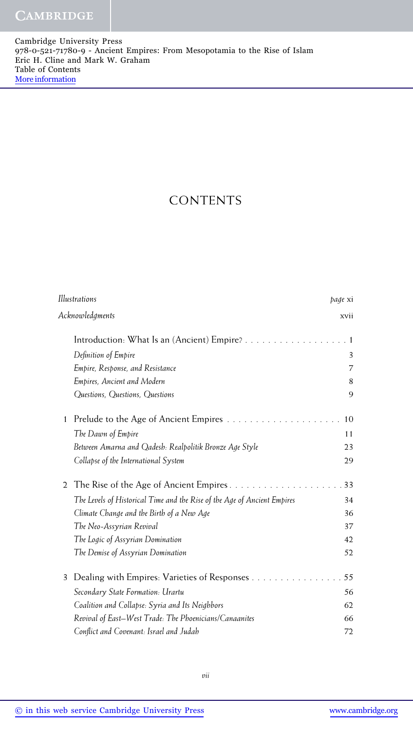## CONTENTS

| Illustrations |                                                                          | page xi |
|---------------|--------------------------------------------------------------------------|---------|
|               | Acknowledgments                                                          | xvii    |
|               | Introduction: What Is an (Ancient) Empire?                               | . 1     |
|               | Definition of Empire                                                     | 3       |
|               | Empire, Response, and Resistance                                         | 7       |
|               | Empires, Ancient and Modern                                              | 8       |
|               | Questions, Questions, Questions                                          | 9       |
| 1             | Prelude to the Age of Ancient Empires                                    | 10      |
|               | The Dawn of Empire                                                       | 11      |
|               | Between Amarna and Qadesh: Realpolitik Bronze Age Style                  | 23      |
|               | Collapse of the International System                                     | 29      |
| 2             | The Rise of the Age of Ancient Empires                                   | 33      |
|               | The Levels of Historical Time and the Rise of the Age of Ancient Empires | 34      |
|               | Climate Change and the Birth of a New Age                                | 36      |
|               | The Neo-Assyrian Revival                                                 | 37      |
|               | The Logic of Assyrian Domination                                         | 42      |
|               | The Demise of Assyrian Domination                                        | 52      |
| 3             | Dealing with Empires: Varieties of Responses                             | 55      |
|               | Secondary State Formation: Urartu                                        | 56      |
|               | Coalition and Collapse: Syria and Its Neighbors                          | 62      |
|               | Revival of East-West Trade: The Phoenicians/Canaanites                   | 66      |
|               | Conflict and Covenant: Israel and Judah                                  | 72      |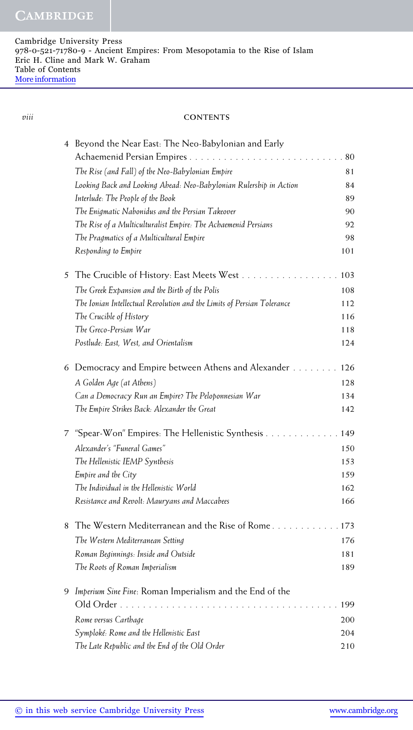## *viii* **CONTENTS**

|   | 4 Beyond the Near East: The Neo-Babylonian and Early                   |     |
|---|------------------------------------------------------------------------|-----|
|   |                                                                        | 80  |
|   | The Rise (and Fall) of the Neo-Babylonian Empire                       | 81  |
|   | Looking Back and Looking Ahead: Neo-Babylonian Rulership in Action     | 84  |
|   | Interlude: The People of the Book                                      | 89  |
|   | The Enigmatic Nabonidus and the Persian Takeover                       | 90  |
|   | The Rise of a Multiculturalist Empire: The Achaemenid Persians         | 92  |
|   | The Pragmatics of a Multicultural Empire                               | 98  |
|   | Responding to Empire                                                   | 101 |
| 5 | The Crucible of History: East Meets West                               | 103 |
|   | The Greek Expansion and the Birth of the Polis                         | 108 |
|   | The Ionian Intellectual Revolution and the Limits of Persian Tolerance | 112 |
|   | The Crucible of History                                                | 116 |
|   | The Greco-Persian War                                                  | 118 |
|   | Postlude: East, West, and Orientalism                                  | 124 |
|   | 6 Democracy and Empire between Athens and Alexander                    | 126 |
|   | A Golden Age (at Athens)                                               | 128 |
|   | Can a Democracy Run an Empire? The Peloponnesian War                   | 134 |
|   | The Empire Strikes Back: Alexander the Great                           | 142 |
| 7 | "Spear-Won" Empires: The Hellenistic Synthesis                         | 149 |
|   | Alexander's "Funeral Games"                                            | 150 |
|   | The Hellenistic IEMP Synthesis                                         | 153 |
|   | Empire and the City                                                    | 159 |
|   | The Individual in the Hellenistic World                                | 162 |
|   | Resistance and Revolt: Mauryans and Maccabees                          | 166 |
| 8 | The Western Mediterranean and the Rise of Rome173                      |     |
|   | The Western Mediterranean Setting                                      | 176 |
|   | Roman Beginnings: Inside and Outside                                   | 181 |
|   | The Roots of Roman Imperialism                                         | 189 |
| 9 | Imperium Sine Fine: Roman Imperialism and the End of the               |     |
|   |                                                                        | 199 |
|   | Rome versus Carthage                                                   | 200 |
|   | Symploké: Rome and the Hellenistic East                                | 204 |
|   | The Late Republic and the End of the Old Order                         | 210 |